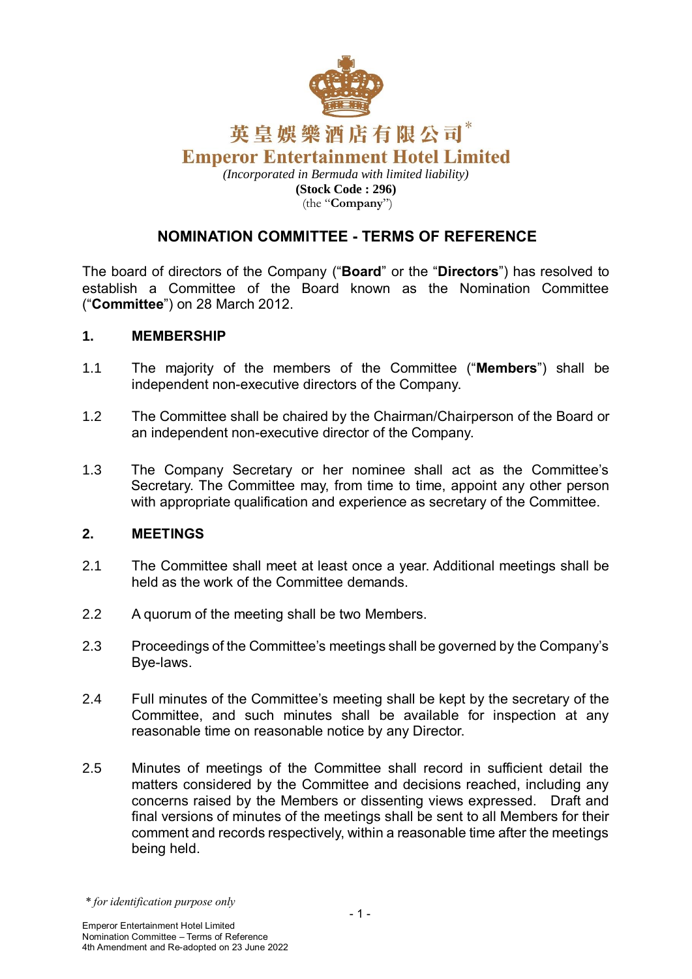

*(Incorporated in Bermuda with limited liability)* **(Stock Code : 296)** (the "**Company**")

# **NOMINATION COMMITTEE - TERMS OF REFERENCE**

The board of directors of the Company ("**Board**" or the "**Directors**") has resolved to establish a Committee of the Board known as the Nomination Committee ("**Committee**") on 28 March 2012.

#### **1. MEMBERSHIP**

- 1.1 The majority of the members of the Committee ("**Members**") shall be independent non-executive directors of the Company.
- 1.2 The Committee shall be chaired by the Chairman/Chairperson of the Board or an independent non-executive director of the Company.
- 1.3 The Company Secretary or her nominee shall act as the Committee's Secretary. The Committee may, from time to time, appoint any other person with appropriate qualification and experience as secretary of the Committee.

### **2. MEETINGS**

- 2.1 The Committee shall meet at least once a year. Additional meetings shall be held as the work of the Committee demands.
- 2.2 A quorum of the meeting shall be two Members.
- 2.3 Proceedings of the Committee's meetings shall be governed by the Company's Bye-laws.
- 2.4 Full minutes of the Committee's meeting shall be kept by the secretary of the Committee, and such minutes shall be available for inspection at any reasonable time on reasonable notice by any Director.
- 2.5 Minutes of meetings of the Committee shall record in sufficient detail the matters considered by the Committee and decisions reached, including any concerns raised by the Members or dissenting views expressed. Draft and final versions of minutes of the meetings shall be sent to all Members for their comment and records respectively, within a reasonable time after the meetings being held.

*<sup>\*</sup> for identification purpose only*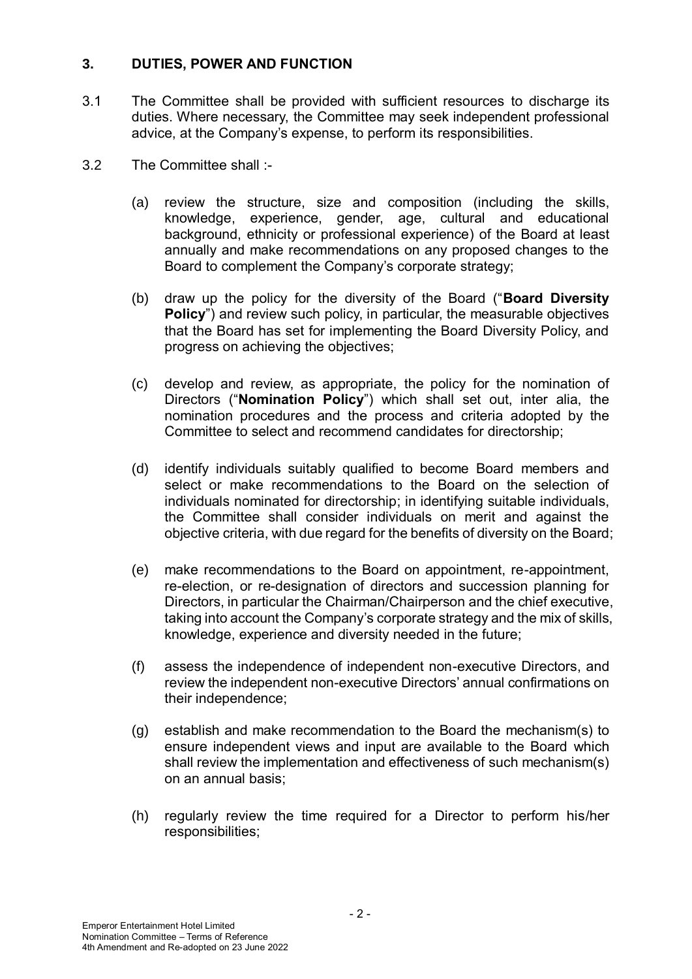### **3. DUTIES, POWER AND FUNCTION**

- 3.1 The Committee shall be provided with sufficient resources to discharge its duties. Where necessary, the Committee may seek independent professional advice, at the Company's expense, to perform its responsibilities.
- 3.2 The Committee shall :-
	- (a) review the structure, size and composition (including the skills, knowledge, experience, gender, age, cultural and educational background, ethnicity or professional experience) of the Board at least annually and make recommendations on any proposed changes to the Board to complement the Company's corporate strategy;
	- (b) draw up the policy for the diversity of the Board ("**Board Diversity Policy**") and review such policy, in particular, the measurable objectives that the Board has set for implementing the Board Diversity Policy, and progress on achieving the objectives;
	- (c) develop and review, as appropriate, the policy for the nomination of Directors ("**Nomination Policy**") which shall set out, inter alia, the nomination procedures and the process and criteria adopted by the Committee to select and recommend candidates for directorship;
	- (d) identify individuals suitably qualified to become Board members and select or make recommendations to the Board on the selection of individuals nominated for directorship; in identifying suitable individuals, the Committee shall consider individuals on merit and against the objective criteria, with due regard for the benefits of diversity on the Board;
	- (e) make recommendations to the Board on appointment, re-appointment, re-election, or re-designation of directors and succession planning for Directors, in particular the Chairman/Chairperson and the chief executive, taking into account the Company's corporate strategy and the mix of skills, knowledge, experience and diversity needed in the future;
	- (f) assess the independence of independent non-executive Directors, and review the independent non-executive Directors' annual confirmations on their independence;
	- (g) establish and make recommendation to the Board the mechanism(s) to ensure independent views and input are available to the Board which shall review the implementation and effectiveness of such mechanism(s) on an annual basis;
	- (h) regularly review the time required for a Director to perform his/her responsibilities;